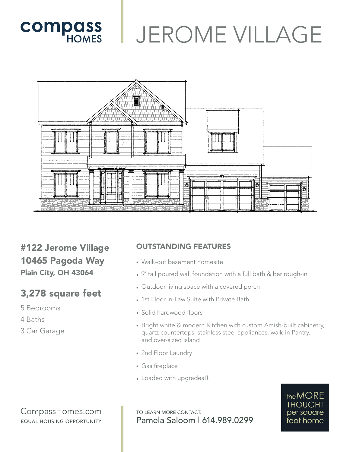# **COMPASS** JEROME VILLAGE



#122 Jerome Village 10465 Pagoda Way Plain City, OH 43064

## 3,278 square feet

- 5 Bedrooms
- 4 Baths
- 3 Car Garage

#### OUTSTANDING FEATURES

- Walk-out basement homesite
- 9' tall poured wall foundation with a full bath & bar rough-in
- Outdoor living space with a covered porch
- 1st Floor In-Law Suite with Private Bath
- Solid hardwood floors
- Bright white & modern Kitchen with custom Amish-built cabinetry, quartz countertops, stainless steel appliances, walk-in Pantry, and over-sized island
- 2nd Floor Laundry
- Gas fireplace
- Loaded with upgrades!!!

#### CompassHomes.com EQUAL HOUSING OPPORTUNITY

TO LEARN MORE CONTACT: Pamela Saloom | 614.989.0299